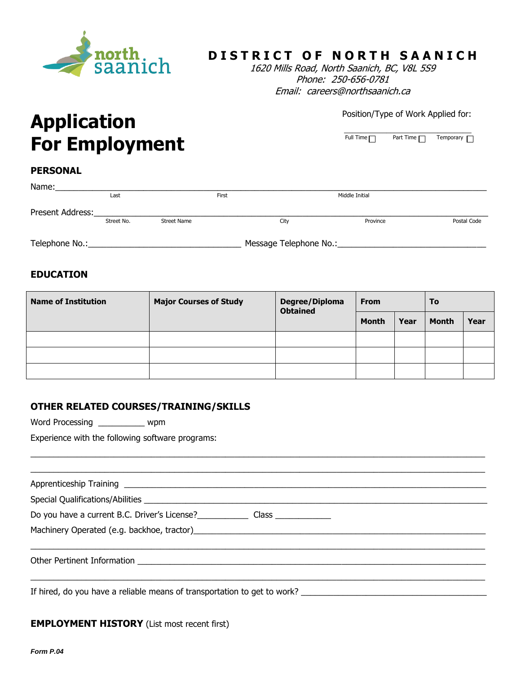

## **DISTRICT OF NORTH SAANICH**

1620 Mills Road, North Saanich, BC, V8L 5S9 Phone: 250-656-0781 Email: careers@northsaanich.ca

#### Position/Type of Work Applied for:

\_\_\_\_\_\_\_\_\_\_\_\_\_\_\_\_\_\_\_\_\_\_\_\_\_\_\_\_\_\_ Full Time Part Time **Dum** Temporary

# **Application For Employment**

#### **PERSONAL**

| Name:            |            |                    |       |                        |                |             |
|------------------|------------|--------------------|-------|------------------------|----------------|-------------|
|                  | Last       |                    | First |                        | Middle Initial |             |
| Present Address: |            |                    |       |                        |                |             |
|                  | Street No. | <b>Street Name</b> |       | City                   | Province       | Postal Code |
|                  |            |                    |       |                        |                |             |
| Telephone No.:   |            |                    |       | Message Telephone No.: |                |             |

#### **EDUCATION**

| <b>Name of Institution</b> | <b>Major Courses of Study</b> | Degree/Diploma<br><b>Obtained</b> | <b>From</b>  |      | To           |      |
|----------------------------|-------------------------------|-----------------------------------|--------------|------|--------------|------|
|                            |                               |                                   | <b>Month</b> | Year | <b>Month</b> | Year |
|                            |                               |                                   |              |      |              |      |
|                            |                               |                                   |              |      |              |      |
|                            |                               |                                   |              |      |              |      |

#### **OTHER RELATED COURSES/TRAINING/SKILLS**

Word Processing \_\_\_\_\_\_\_\_\_\_ wpm

Experience with the following software programs:

| Do you have a current B.C. Driver's License?<br>Class |
|-------------------------------------------------------|
|                                                       |
|                                                       |
|                                                       |
|                                                       |

 $\_$  , and the set of the set of the set of the set of the set of the set of the set of the set of the set of the set of the set of the set of the set of the set of the set of the set of the set of the set of the set of th

If hired, do you have a reliable means of transportation to get to work? \_\_\_\_\_\_\_\_\_\_\_\_\_\_\_\_\_\_\_\_\_\_\_\_\_\_\_\_\_\_\_\_\_\_\_\_\_\_\_\_

#### **EMPLOYMENT HISTORY** (List most recent first)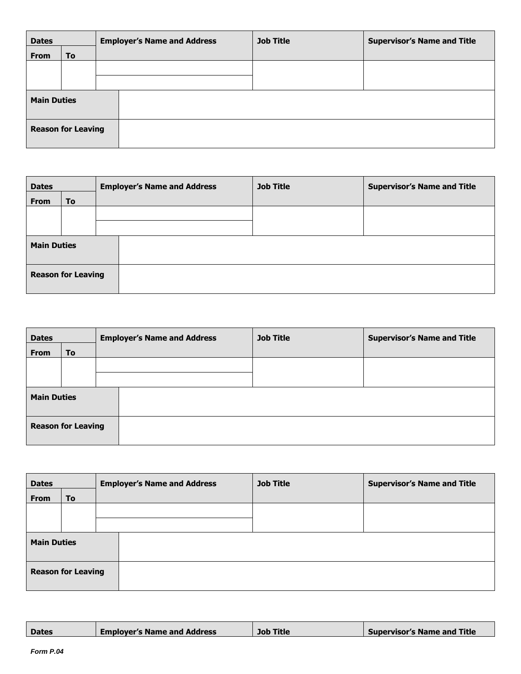| <b>Dates</b>       |                           | <b>Employer's Name and Address</b> | <b>Job Title</b> | <b>Supervisor's Name and Title</b> |
|--------------------|---------------------------|------------------------------------|------------------|------------------------------------|
| <b>From</b>        | <b>To</b>                 |                                    |                  |                                    |
|                    |                           |                                    |                  |                                    |
|                    |                           |                                    |                  |                                    |
| <b>Main Duties</b> |                           |                                    |                  |                                    |
|                    | <b>Reason for Leaving</b> |                                    |                  |                                    |

| <b>Dates</b>       |                           | <b>Employer's Name and Address</b> | <b>Job Title</b> | <b>Supervisor's Name and Title</b> |
|--------------------|---------------------------|------------------------------------|------------------|------------------------------------|
| <b>From</b>        | <b>To</b>                 |                                    |                  |                                    |
|                    |                           |                                    |                  |                                    |
|                    |                           |                                    |                  |                                    |
| <b>Main Duties</b> |                           |                                    |                  |                                    |
|                    | <b>Reason for Leaving</b> |                                    |                  |                                    |

| <b>Dates</b>              |    | <b>Employer's Name and Address</b> | <b>Job Title</b> | <b>Supervisor's Name and Title</b> |
|---------------------------|----|------------------------------------|------------------|------------------------------------|
| <b>From</b>               | To |                                    |                  |                                    |
|                           |    |                                    |                  |                                    |
|                           |    |                                    |                  |                                    |
| <b>Main Duties</b>        |    |                                    |                  |                                    |
| <b>Reason for Leaving</b> |    |                                    |                  |                                    |

| <b>Dates</b>       |                           | <b>Employer's Name and Address</b> | <b>Job Title</b> | <b>Supervisor's Name and Title</b> |
|--------------------|---------------------------|------------------------------------|------------------|------------------------------------|
| <b>From</b>        | To                        |                                    |                  |                                    |
|                    |                           |                                    |                  |                                    |
|                    |                           |                                    |                  |                                    |
| <b>Main Duties</b> |                           |                                    |                  |                                    |
|                    | <b>Reason for Leaving</b> |                                    |                  |                                    |

| <b>Supervisor's Name and Title</b><br><b>Employer's Name and Address</b><br><b>Job Title</b><br><b>Dates</b> |
|--------------------------------------------------------------------------------------------------------------|
|--------------------------------------------------------------------------------------------------------------|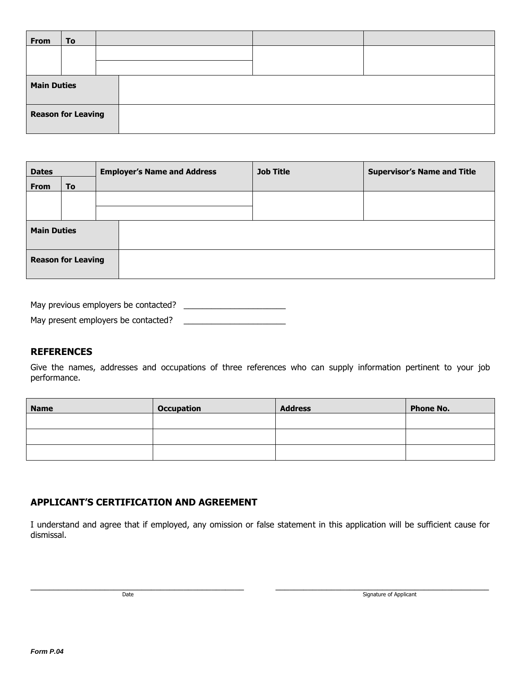| <b>From</b>               | To |  |  |  |  |
|---------------------------|----|--|--|--|--|
|                           |    |  |  |  |  |
|                           |    |  |  |  |  |
| <b>Main Duties</b>        |    |  |  |  |  |
| <b>Reason for Leaving</b> |    |  |  |  |  |

| <b>Dates</b>       |                           | <b>Employer's Name and Address</b> | <b>Job Title</b> | <b>Supervisor's Name and Title</b> |
|--------------------|---------------------------|------------------------------------|------------------|------------------------------------|
| From               | <b>To</b>                 |                                    |                  |                                    |
|                    |                           |                                    |                  |                                    |
|                    |                           |                                    |                  |                                    |
| <b>Main Duties</b> |                           |                                    |                  |                                    |
|                    | <b>Reason for Leaving</b> |                                    |                  |                                    |

| May previous employers be contacted? |  |
|--------------------------------------|--|
| May present employers be contacted?  |  |

#### **REFERENCES**

Give the names, addresses and occupations of three references who can supply information pertinent to your job performance.

| <b>Name</b> | <b>Occupation</b> | <b>Address</b> | <b>Phone No.</b> |
|-------------|-------------------|----------------|------------------|
|             |                   |                |                  |
|             |                   |                |                  |
|             |                   |                |                  |

### **APPLICANT'S CERTIFICATION AND AGREEMENT**

I understand and agree that if employed, any omission or false statement in this application will be sufficient cause for dismissal.